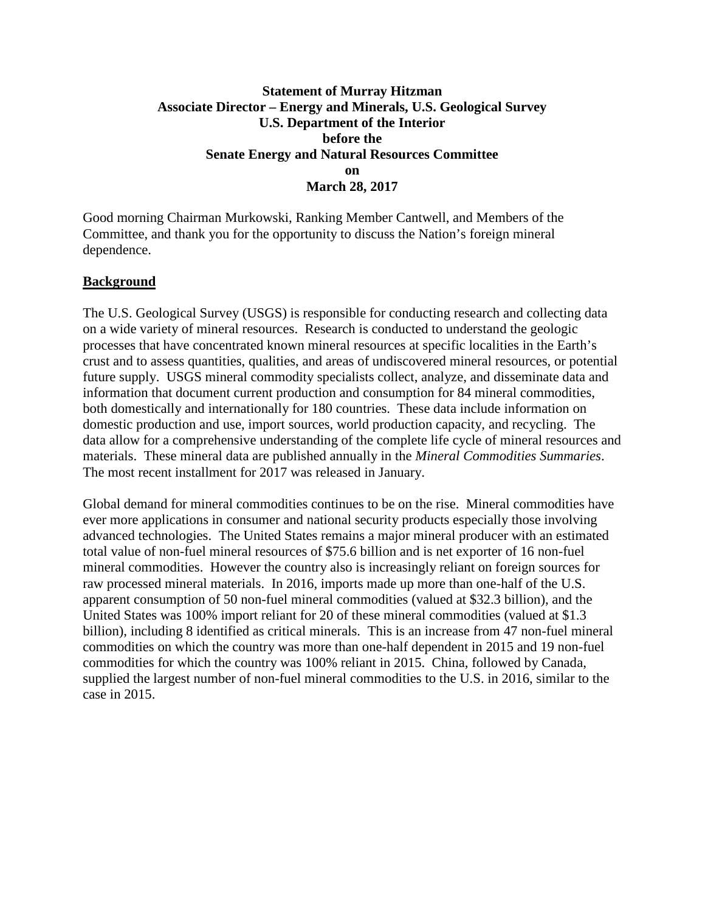### **Statement of Murray Hitzman Associate Director – Energy and Minerals, U.S. Geological Survey U.S. Department of the Interior before the Senate Energy and Natural Resources Committee on March 28, 2017**

Good morning Chairman Murkowski, Ranking Member Cantwell, and Members of the Committee, and thank you for the opportunity to discuss the Nation's foreign mineral dependence.

### **Background**

The U.S. Geological Survey (USGS) is responsible for conducting research and collecting data on a wide variety of mineral resources. Research is conducted to understand the geologic processes that have concentrated known mineral resources at specific localities in the Earth's crust and to assess quantities, qualities, and areas of undiscovered mineral resources, or potential future supply. USGS mineral commodity specialists collect, analyze, and disseminate data and information that document current production and consumption for 84 mineral commodities, both domestically and internationally for 180 countries. These data include information on domestic production and use, import sources, world production capacity, and recycling. The data allow for a comprehensive understanding of the complete life cycle of mineral resources and materials. These mineral data are published annually in the *Mineral Commodities Summaries*. The most recent installment for 2017 was released in January.

Global demand for mineral commodities continues to be on the rise. Mineral commodities have ever more applications in consumer and national security products especially those involving advanced technologies. The United States remains a major mineral producer with an estimated total value of non-fuel mineral resources of \$75.6 billion and is net exporter of 16 non-fuel mineral commodities. However the country also is increasingly reliant on foreign sources for raw processed mineral materials. In 2016, imports made up more than one-half of the U.S. apparent consumption of 50 non-fuel mineral commodities (valued at \$32.3 billion), and the United States was 100% import reliant for 20 of these mineral commodities (valued at \$1.3 billion), including 8 identified as critical minerals. This is an increase from 47 non-fuel mineral commodities on which the country was more than one-half dependent in 2015 and 19 non-fuel commodities for which the country was 100% reliant in 2015. China, followed by Canada, supplied the largest number of non-fuel mineral commodities to the U.S. in 2016, similar to the case in 2015.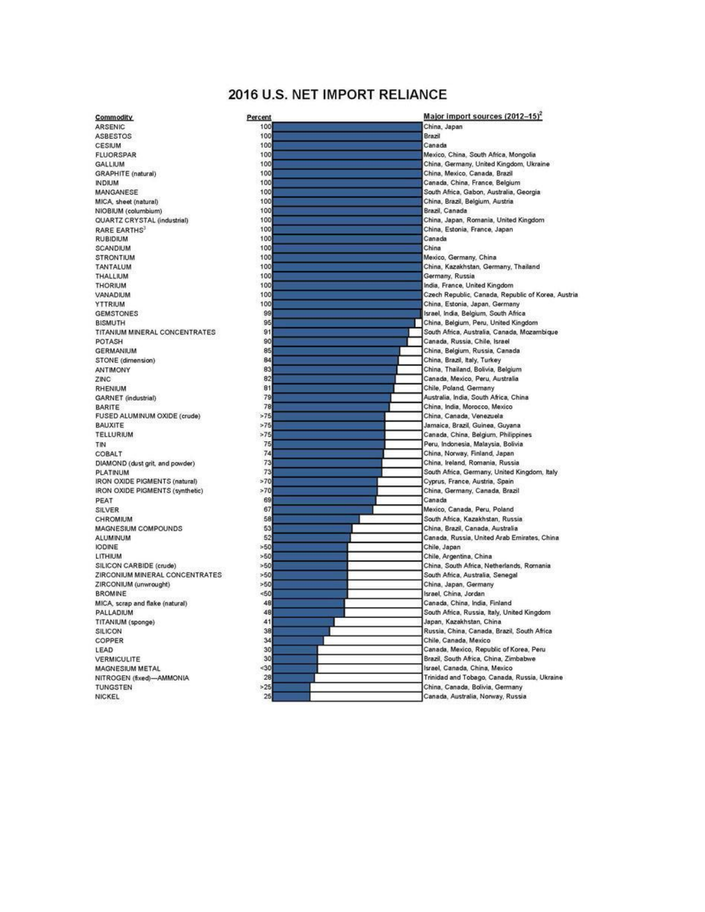# 2016 U.S. NET IMPORT RELIANCE

| Commodity                               |
|-----------------------------------------|
| <b>ARSENIC</b>                          |
| <b>ASBESTOS</b>                         |
| <b>CESIUM</b>                           |
| <b>FLUORSPAR</b>                        |
| <b>GALLIUM</b>                          |
| GRAPHITE (natural)                      |
| <b>INDIUM</b>                           |
| MANGANESE                               |
| MICA, sheet (natural)                   |
| NIOBIUM (columbium)                     |
| QUARTZ CRYSTAL (industrial)             |
| RARE EARTHS                             |
| <b>RUBIDIUM</b>                         |
| SCANDIUM                                |
| <b>STRONTIUM</b>                        |
| <b>TANTALUM</b>                         |
| THALLIUM                                |
| <b>THORIUM</b>                          |
| VANADIUM                                |
|                                         |
| YTTRIUM                                 |
| <b>GEMSTONES</b>                        |
| <b>BISMUTH</b>                          |
| TITANIUM MINERAL CONCENTRATES           |
| POTASH                                  |
| <b>GERMANIUM</b>                        |
| STONE (dimension)                       |
| <b>ANTIMONY</b>                         |
| ZINC                                    |
| RHENIUM                                 |
| GARNET (industrial)                     |
| BARITE                                  |
| FUSED ALUMINUM OXIDE (crude)            |
| <b>BAUXITE</b>                          |
| TELLURIUM                               |
| TIN                                     |
| <b>COBALT</b>                           |
| DIAMOND (dust grit, and powder)         |
| PLATINUM                                |
| IRON OXIDE PIGMENTS (natural)           |
| IRON OXIDE PIGMENTS (synthetic)         |
| PEAT                                    |
| SILVER                                  |
| CHROMIUM                                |
| MAGNESIUM COMPOUNDS                     |
| <b>ALUMINUM</b>                         |
| <b>IODINE</b>                           |
| LITHIUM                                 |
| SILICON CARBIDE (crude)                 |
| ZIRCONIUM MINERAL CONCENTRATES          |
|                                         |
| ZIRCONIUM (unwrought)<br><b>BROMINE</b> |
|                                         |
| MICA, scrap and flake (natural)         |
| PALLADIUM                               |
| TITANIUM (sponge)                       |
| SILICON                                 |
| COPPER                                  |
| LEAD                                    |
| VERMICULITE                             |
| MAGNESIUM METAL                         |
| NITROGEN (fixed)-AMMONIA                |
| TUNGSTEN                                |
| NICKEL                                  |
|                                         |

| Percent   | Major import sources (2012-15) <sup>2</sup>                          |
|-----------|----------------------------------------------------------------------|
| 100       | China, Japan                                                         |
| 100       | Brazil                                                               |
| 100       | Canada                                                               |
| 100       | Mexico, China, South Africa, Mongolia                                |
| 100       | China, Germany, United Kingdom, Ukraine                              |
| 100       | China, Mexico, Canada, Brazil                                        |
| 100       | Canada, China, France, Belgium                                       |
| 100       | South Africa, Gabon, Australia, Georgia                              |
| 100       | China, Brazil, Belgium, Austria                                      |
| 100       | Brazil, Canada                                                       |
| 100       | China, Japan, Romania, United Kingdom                                |
| 100       | China, Estonia, France, Japan                                        |
| 100       | Canada                                                               |
| 100       | China                                                                |
| 100       | Mexico, Germany, China                                               |
| 100       | China, Kazakhstan, Germany, Thailand                                 |
| 100       | Germany, Russia                                                      |
| 100       | India, France, United Kingdom                                        |
| 100       | Czech Republic, Canada, Republic of Korea, Austria                   |
| 100       | China, Estonia, Japan, Germany                                       |
| 99        | Israel, India, Belgium, South Africa                                 |
| 95        | China, Belgium, Peru, United Kingdom                                 |
| 91        | South Africa, Australia, Canada, Mozambique                          |
| 90        | Canada, Russia, Chile, Israel                                        |
| 85        | China, Belgium, Russia, Canada                                       |
| 84        | China, Brazil, Italy, Turkey                                         |
| 83        | China, Thailand, Bolivia, Belgium                                    |
| 82        | Canada, Mexico, Peru, Australia                                      |
| 81        | Chile, Poland, Germany                                               |
| 79        | Australia, India, South Africa, China                                |
| 78        | China, India, Morocco, Mexico                                        |
| >75       | China, Canada, Venezuela                                             |
| >75       | Jamaica, Brazil, Guinea, Guyana                                      |
| >75       | Canada, China, Belgium, Philippines                                  |
| 75        | Peru, Indonesia, Malaysia, Bolivia                                   |
| 74        | China, Norway, Finland, Japan                                        |
| 73        | China, Ireland, Romania, Russia                                      |
| 73        | South Africa, Germany, United Kingdom, Italy                         |
| >70       | Cyprus, France, Austria, Spain                                       |
| >70       | China, Germany, Canada, Brazil                                       |
| 69        | Canada                                                               |
| 67        | Mexico, Canada, Peru, Poland                                         |
| 58        | South Africa, Kazakhstan, Russia.                                    |
| 53        | China, Brazil, Canada, Australia                                     |
| 52        | Canada, Russia, United Arab Emirates, China                          |
| >50       | Chile, Japan                                                         |
| >50       | Chile, Argentina, China                                              |
| >50       | China, South Africa, Netherlands, Romania                            |
| >50       | South Africa, Australia, Senegal                                     |
| >50       | China, Japan, Germany                                                |
| <50       | Israel, China, Jordan                                                |
| 48        | Canada, China, India, Finland                                        |
| 48        | South Africa, Russia, Italy, United Kingdom                          |
| 41        | Japan, Kazakhstan, China                                             |
| 38        | Russia, China, Canada, Brazil, South Africa                          |
| 34        | Chile, Canada, Mexico                                                |
| 30        | Canada, Mexico, Republic of Korea, Peru                              |
| 30        | Brazil, South Africa, China, Zimbabwe                                |
| 30        | Israel, Canada, China, Mexico                                        |
| 28        | Trinidad and Tobago, Canada, Russia, Ukraine                         |
|           |                                                                      |
| >25<br>25 | China, Canada, Bolivia, Germany<br>Canada, Australia, Norway, Russia |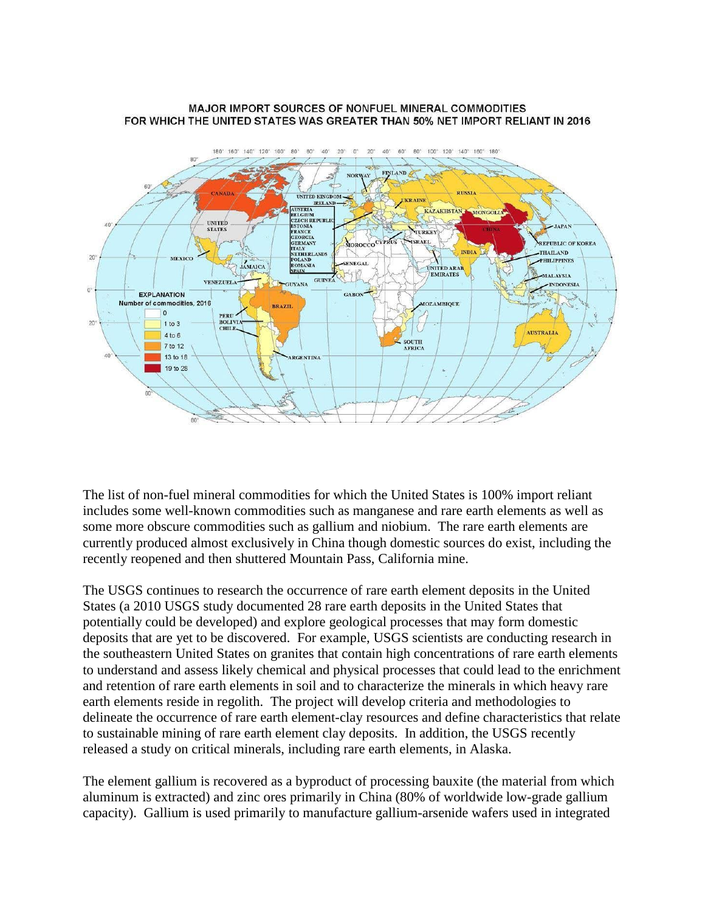#### MAJOR IMPORT SOURCES OF NONFUEL MINERAL COMMODITIES FOR WHICH THE UNITED STATES WAS GREATER THAN 50% NET IMPORT RELIANT IN 2016



The list of non-fuel mineral commodities for which the United States is 100% import reliant includes some well-known commodities such as manganese and rare earth elements as well as some more obscure commodities such as gallium and niobium. The rare earth elements are currently produced almost exclusively in China though domestic sources do exist, including the recently reopened and then shuttered Mountain Pass, California mine.

The USGS continues to research the occurrence of rare earth element deposits in the United States (a 2010 USGS study documented 28 rare earth deposits in the United States that potentially could be developed) and explore geological processes that may form domestic deposits that are yet to be discovered. For example, USGS scientists are conducting research in the southeastern United States on granites that contain high concentrations of rare earth elements to understand and assess likely chemical and physical processes that could lead to the enrichment and retention of rare earth elements in soil and to characterize the minerals in which heavy rare earth elements reside in regolith. The project will develop criteria and methodologies to delineate the occurrence of rare earth element-clay resources and define characteristics that relate to sustainable mining of rare earth element clay deposits. In addition, the USGS recently released a study on critical minerals, including rare earth elements, in Alaska.

The element gallium is recovered as a byproduct of processing bauxite (the material from which aluminum is extracted) and zinc ores primarily in China (80% of worldwide low-grade gallium capacity). Gallium is used primarily to manufacture gallium-arsenide wafers used in integrated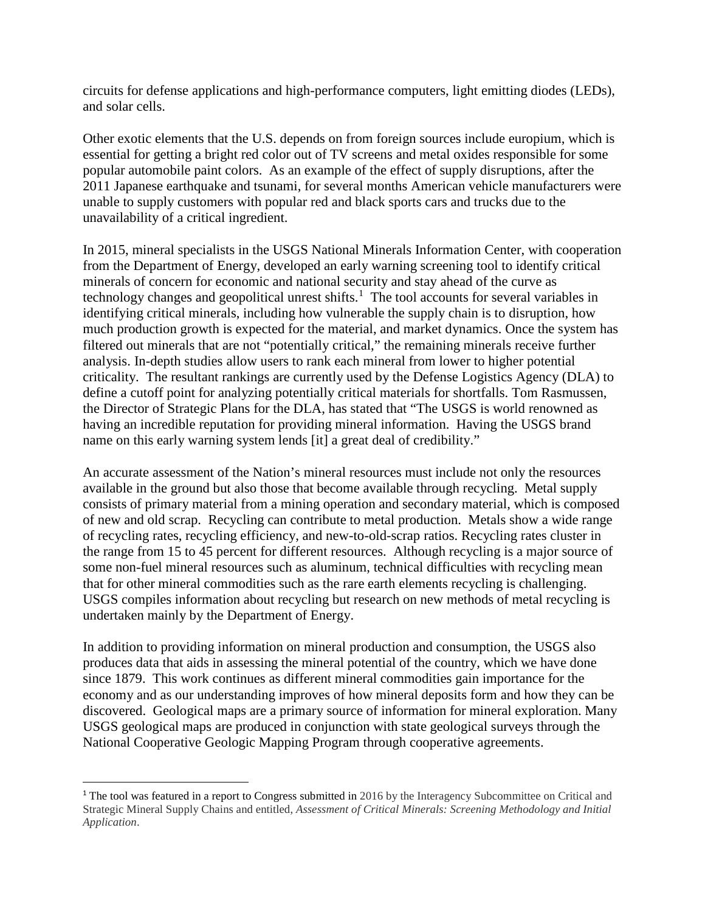circuits for defense applications and high-performance computers, light emitting diodes (LEDs), and solar cells.

Other exotic elements that the U.S. depends on from foreign sources include europium, which is essential for getting a bright red color out of TV screens and metal oxides responsible for some popular automobile paint colors. As an example of the effect of supply disruptions, after the 2011 Japanese earthquake and tsunami, for several months American vehicle manufacturers were unable to supply customers with popular red and black sports cars and trucks due to the unavailability of a critical ingredient.

In 2015, mineral specialists in the USGS National Minerals Information Center, with cooperation from the Department of Energy, developed an early warning screening tool to identify critical minerals of concern for economic and national security and stay ahead of the curve as technology changes and geopolitical unrest shifts.<sup>[1](#page-3-0)</sup> The tool accounts for several variables in identifying critical minerals, including how vulnerable the supply chain is to disruption, how much production growth is expected for the material, and market dynamics. Once the system has filtered out minerals that are not "potentially critical," the remaining minerals receive further analysis. In-depth studies allow users to rank each mineral from lower to higher potential criticality. The resultant rankings are currently used by the Defense Logistics Agency (DLA) to define a cutoff point for analyzing potentially critical materials for shortfalls. Tom Rasmussen, the Director of Strategic Plans for the DLA, has stated that "The USGS is world renowned as having an incredible reputation for providing mineral information. Having the USGS brand name on this early warning system lends [it] a great deal of credibility."

An accurate assessment of the Nation's mineral resources must include not only the resources available in the ground but also those that become available through recycling. Metal supply consists of primary material from a mining operation and secondary material, which is composed of new and old scrap. Recycling can contribute to metal production. Metals show a wide range of recycling rates, recycling efficiency, and new-to-old-scrap ratios. Recycling rates cluster in the range from 15 to 45 percent for different resources. Although recycling is a major source of some non-fuel mineral resources such as aluminum, technical difficulties with recycling mean that for other mineral commodities such as the rare earth elements recycling is challenging. USGS compiles information about recycling but research on new methods of metal recycling is undertaken mainly by the Department of Energy.

In addition to providing information on mineral production and consumption, the USGS also produces data that aids in assessing the mineral potential of the country, which we have done since 1879. This work continues as different mineral commodities gain importance for the economy and as our understanding improves of how mineral deposits form and how they can be discovered. Geological maps are a primary source of information for mineral exploration. Many USGS geological maps are produced in conjunction with state geological surveys through the National Cooperative Geologic Mapping Program through cooperative agreements.

<span id="page-3-0"></span><sup>&</sup>lt;sup>1</sup> The tool was featured in a report to Congress submitted in 2016 by the Interagency Subcommittee on Critical and Strategic Mineral Supply Chains and entitled, *Assessment of Critical Minerals: Screening Methodology and Initial Application*.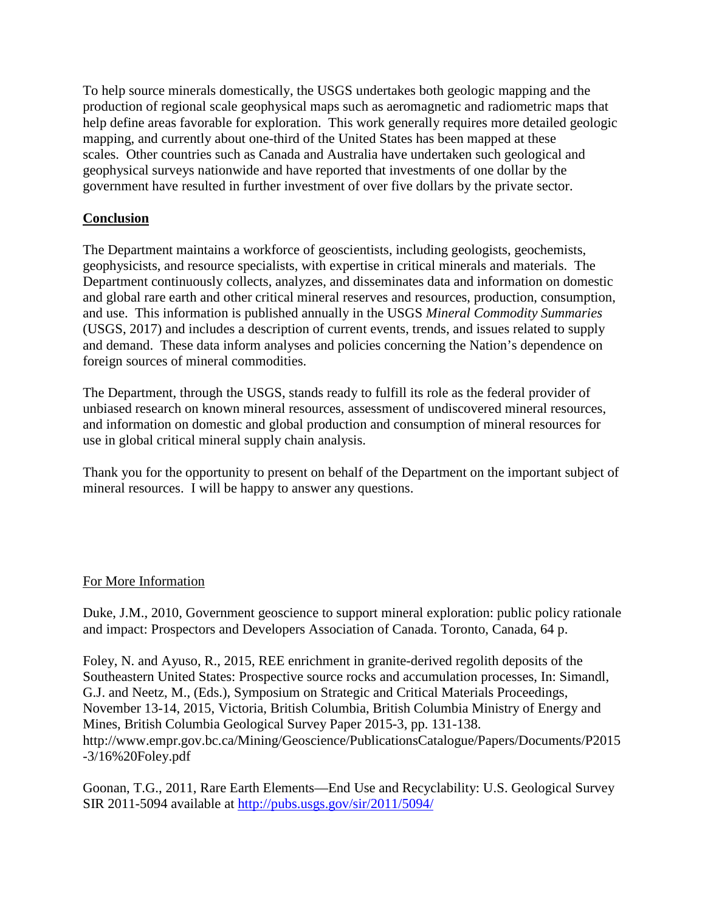To help source minerals domestically, the USGS undertakes both geologic mapping and the production of regional scale geophysical maps such as aeromagnetic and radiometric maps that help define areas favorable for exploration. This work generally requires more detailed geologic mapping, and currently about one-third of the United States has been mapped at these scales. Other countries such as Canada and Australia have undertaken such geological and geophysical surveys nationwide and have reported that investments of one dollar by the government have resulted in further investment of over five dollars by the private sector.

## **Conclusion**

The Department maintains a workforce of geoscientists, including geologists, geochemists, geophysicists, and resource specialists, with expertise in critical minerals and materials. The Department continuously collects, analyzes, and disseminates data and information on domestic and global rare earth and other critical mineral reserves and resources, production, consumption, and use. This information is published annually in the USGS *Mineral Commodity Summaries* (USGS, 2017) and includes a description of current events, trends, and issues related to supply and demand. These data inform analyses and policies concerning the Nation's dependence on foreign sources of mineral commodities.

The Department, through the USGS, stands ready to fulfill its role as the federal provider of unbiased research on known mineral resources, assessment of undiscovered mineral resources, and information on domestic and global production and consumption of mineral resources for use in global critical mineral supply chain analysis.

Thank you for the opportunity to present on behalf of the Department on the important subject of mineral resources. I will be happy to answer any questions.

## For More Information

Duke, J.M., 2010, Government geoscience to support mineral exploration: public policy rationale and impact: Prospectors and Developers Association of Canada. Toronto, Canada, 64 p.

Foley, N. and Ayuso, R., 2015, REE enrichment in granite-derived regolith deposits of the Southeastern United States: Prospective source rocks and accumulation processes, In: Simandl, G.J. and Neetz, M., (Eds.), Symposium on Strategic and Critical Materials Proceedings, November 13-14, 2015, Victoria, British Columbia, British Columbia Ministry of Energy and Mines, British Columbia Geological Survey Paper 2015-3, pp. 131-138. http://www.empr.gov.bc.ca/Mining/Geoscience/PublicationsCatalogue/Papers/Documents/P2015 -3/16%20Foley.pdf

Goonan, T.G., 2011, Rare Earth Elements—End Use and Recyclability: U.S. Geological Survey SIR 2011-5094 available at<http://pubs.usgs.gov/sir/2011/5094/>